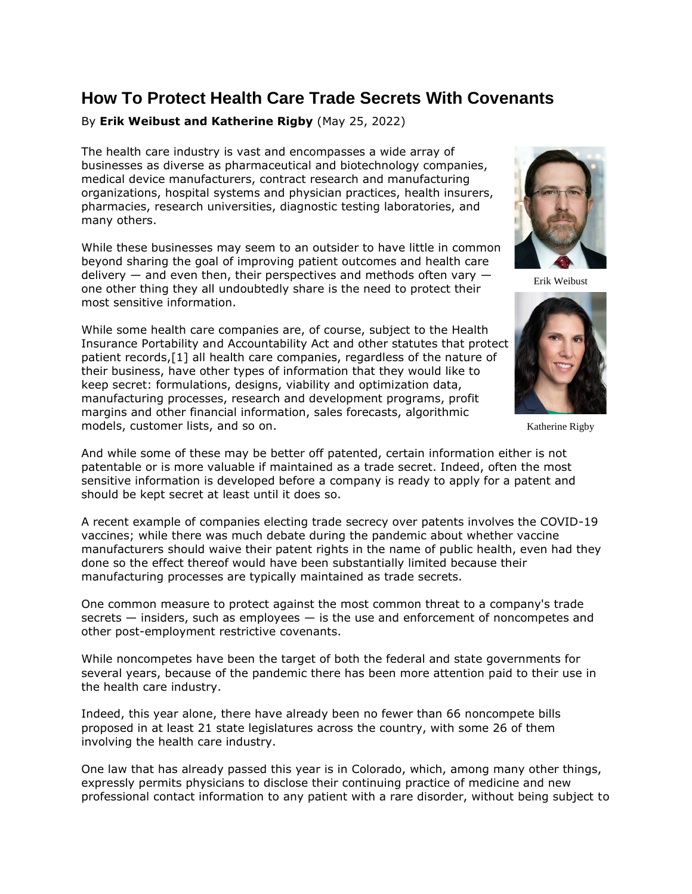# **How To Protect Health Care Trade Secrets With Covenants**

# By **Erik Weibust and Katherine Rigby** (May 25, 2022)

The health care industry is vast and encompasses a wide array of businesses as diverse as pharmaceutical and biotechnology companies, medical device manufacturers, contract research and manufacturing organizations, hospital systems and physician practices, health insurers, pharmacies, research universities, diagnostic testing laboratories, and many others.

While these businesses may seem to an outsider to have little in common beyond sharing the goal of improving patient outcomes and health care delivery  $-$  and even then, their perspectives and methods often vary  $$ one other thing they all undoubtedly share is the need to protect their most sensitive information.

While some health care companies are, of course, subject to the Health Insurance Portability and Accountability Act and other statutes that protect patient records,[1] all health care companies, regardless of the nature of their business, have other types of information that they would like to keep secret: formulations, designs, viability and optimization data, manufacturing processes, research and development programs, profit margins and other financial information, sales forecasts, algorithmic models, customer lists, and so on.



Erik Weibust



Katherine Rigby

And while some of these may be better off patented, certain information either is not patentable or is more valuable if maintained as a trade secret. Indeed, often the most sensitive information is developed before a company is ready to apply for a patent and should be kept secret at least until it does so.

A recent example of companies electing trade secrecy over patents involves the COVID-19 vaccines; while there was much debate during the pandemic about whether vaccine manufacturers should waive their patent rights in the name of public health, even had they done so the effect thereof would have been substantially limited because their manufacturing processes are typically maintained as trade secrets.

One common measure to protect against the most common threat to a company's trade secrets — insiders, such as employees — is the use and enforcement of noncompetes and other post-employment restrictive covenants.

While noncompetes have been the target of both the federal and state governments for several years, because of the pandemic there has been more attention paid to their use in the health care industry.

Indeed, this year alone, there have already been no fewer than 66 noncompete bills proposed in at least 21 state legislatures across the country, with some 26 of them involving the health care industry.

One law that has already passed this year is in Colorado, which, among many other things, expressly permits physicians to disclose their continuing practice of medicine and new professional contact information to any patient with a rare disorder, without being subject to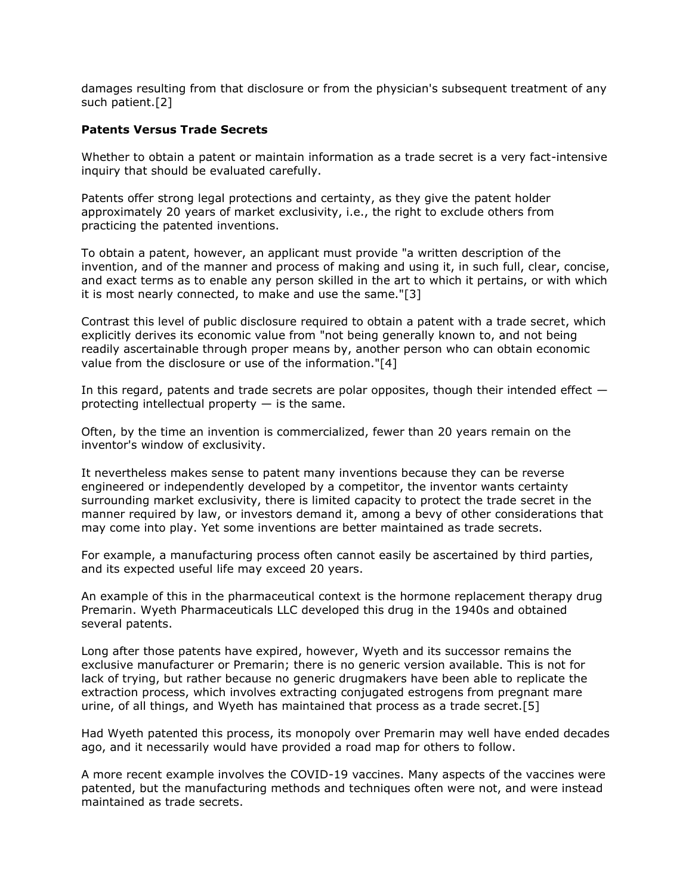damages resulting from that disclosure or from the physician's subsequent treatment of any such patient.[2]

### **Patents Versus Trade Secrets**

Whether to obtain a patent or maintain information as a trade secret is a very fact-intensive inquiry that should be evaluated carefully.

Patents offer strong legal protections and certainty, as they give the patent holder approximately 20 years of market exclusivity, i.e., the right to exclude others from practicing the patented inventions.

To obtain a patent, however, an applicant must provide "a written description of the invention, and of the manner and process of making and using it, in such full, clear, concise, and exact terms as to enable any person skilled in the art to which it pertains, or with which it is most nearly connected, to make and use the same."[3]

Contrast this level of public disclosure required to obtain a patent with a trade secret, which explicitly derives its economic value from "not being generally known to, and not being readily ascertainable through proper means by, another person who can obtain economic value from the disclosure or use of the information."[4]

In this regard, patents and trade secrets are polar opposites, though their intended effect  $$ protecting intellectual property  $-$  is the same.

Often, by the time an invention is commercialized, fewer than 20 years remain on the inventor's window of exclusivity.

It nevertheless makes sense to patent many inventions because they can be reverse engineered or independently developed by a competitor, the inventor wants certainty surrounding market exclusivity, there is limited capacity to protect the trade secret in the manner required by law, or investors demand it, among a bevy of other considerations that may come into play. Yet some inventions are better maintained as trade secrets.

For example, a manufacturing process often cannot easily be ascertained by third parties, and its expected useful life may exceed 20 years.

An example of this in the pharmaceutical context is the hormone replacement therapy drug Premarin. [Wyeth Pharmaceuticals LLC](https://www.law360.com/companies/pfizer-inc) developed this drug in the 1940s and obtained several patents.

Long after those patents have expired, however, Wyeth and its successor remains the exclusive manufacturer or Premarin; there is no generic version available. This is not for lack of trying, but rather because no generic drugmakers have been able to replicate the extraction process, which involves extracting conjugated estrogens from pregnant mare urine, of all things, and Wyeth has maintained that process as a trade secret.[5]

Had Wyeth patented this process, its monopoly over Premarin may well have ended decades ago, and it necessarily would have provided a road map for others to follow.

A more recent example involves the COVID-19 vaccines. Many aspects of the vaccines were patented, but the manufacturing methods and techniques often were not, and were instead maintained as trade secrets.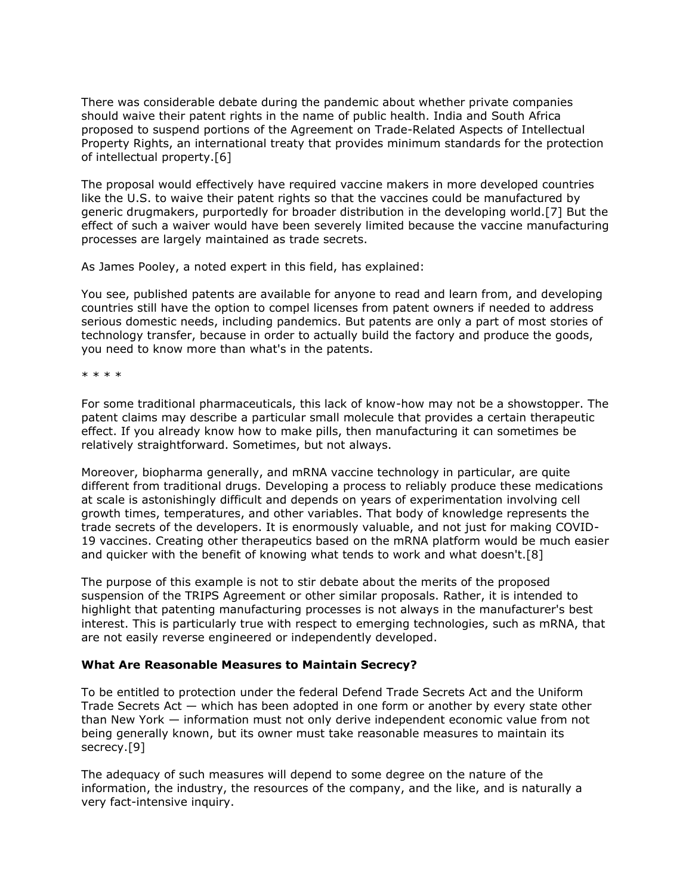There was considerable debate during the pandemic about whether private companies should waive their patent rights in the name of public health. India and South Africa proposed to suspend portions of the Agreement on Trade-Related Aspects of Intellectual Property Rights, an international treaty that provides minimum standards for the protection of intellectual property.[6]

The proposal would effectively have required vaccine makers in more developed countries like the U.S. to waive their patent rights so that the vaccines could be manufactured by generic drugmakers, purportedly for broader distribution in the developing world.[7] But the effect of such a waiver would have been severely limited because the vaccine manufacturing processes are largely maintained as trade secrets.

As James Pooley, a noted expert in this field, has explained:

You see, published patents are available for anyone to read and learn from, and developing countries still have the option to compel licenses from patent owners if needed to address serious domestic needs, including pandemics. But patents are only a part of most stories of technology transfer, because in order to actually build the factory and produce the goods, you need to know more than what's in the patents.

\* \* \* \*

For some traditional pharmaceuticals, this lack of know-how may not be a showstopper. The patent claims may describe a particular small molecule that provides a certain therapeutic effect. If you already know how to make pills, then manufacturing it can sometimes be relatively straightforward. Sometimes, but not always.

Moreover, biopharma generally, and mRNA vaccine technology in particular, are quite different from traditional drugs. Developing a process to reliably produce these medications at scale is astonishingly difficult and depends on years of experimentation involving cell growth times, temperatures, and other variables. That body of knowledge represents the trade secrets of the developers. It is enormously valuable, and not just for making COVID-19 vaccines. Creating other therapeutics based on the mRNA platform would be much easier and quicker with the benefit of knowing what tends to work and what doesn't.[8]

The purpose of this example is not to stir debate about the merits of the proposed suspension of the TRIPS Agreement or other similar proposals. Rather, it is intended to highlight that patenting manufacturing processes is not always in the manufacturer's best interest. This is particularly true with respect to emerging technologies, such as mRNA, that are not easily reverse engineered or independently developed.

## **What Are Reasonable Measures to Maintain Secrecy?**

To be entitled to protection under the federal Defend Trade Secrets Act and the Uniform Trade Secrets Act — which has been adopted in one form or another by every state other than New York — information must not only derive independent economic value from not being generally known, but its owner must take reasonable measures to maintain its secrecy.[9]

The adequacy of such measures will depend to some degree on the nature of the information, the industry, the resources of the company, and the like, and is naturally a very fact-intensive inquiry.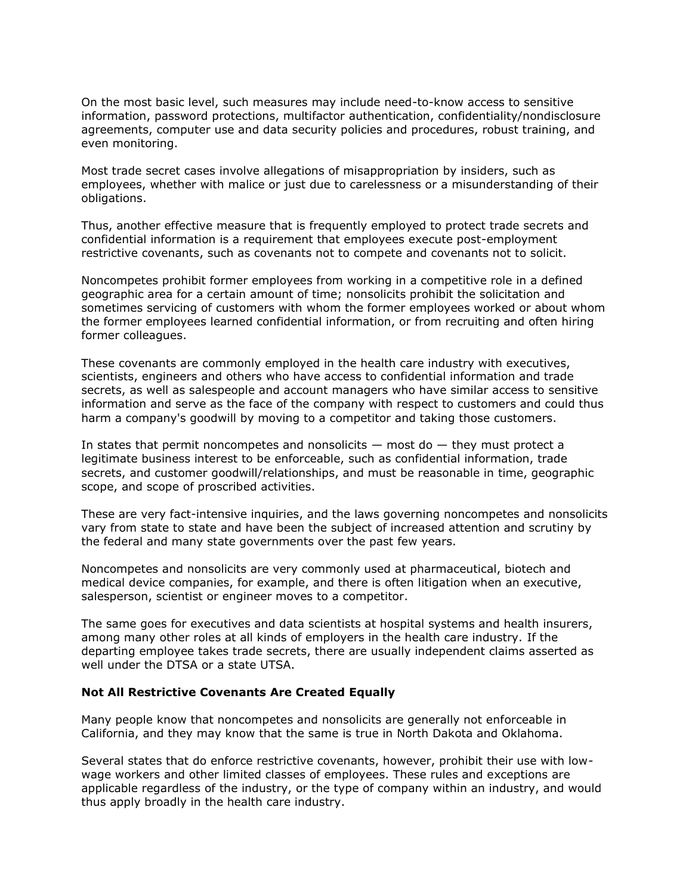On the most basic level, such measures may include need-to-know access to sensitive information, password protections, multifactor authentication, confidentiality/nondisclosure agreements, computer use and data security policies and procedures, robust training, and even monitoring.

Most trade secret cases involve allegations of misappropriation by insiders, such as employees, whether with malice or just due to carelessness or a misunderstanding of their obligations.

Thus, another effective measure that is frequently employed to protect trade secrets and confidential information is a requirement that employees execute post-employment restrictive covenants, such as covenants not to compete and covenants not to solicit.

Noncompetes prohibit former employees from working in a competitive role in a defined geographic area for a certain amount of time; nonsolicits prohibit the solicitation and sometimes servicing of customers with whom the former employees worked or about whom the former employees learned confidential information, or from recruiting and often hiring former colleagues.

These covenants are commonly employed in the health care industry with executives, scientists, engineers and others who have access to confidential information and trade secrets, as well as salespeople and account managers who have similar access to sensitive information and serve as the face of the company with respect to customers and could thus harm a company's goodwill by moving to a competitor and taking those customers.

In states that permit noncompetes and nonsolicits  $-$  most do  $-$  they must protect a legitimate business interest to be enforceable, such as confidential information, trade secrets, and customer goodwill/relationships, and must be reasonable in time, geographic scope, and scope of proscribed activities.

These are very fact-intensive inquiries, and the laws governing noncompetes and nonsolicits vary from state to state and have been the subject of increased attention and scrutiny by the federal and many state governments over the past few years.

Noncompetes and nonsolicits are very commonly used at pharmaceutical, biotech and medical device companies, for example, and there is often litigation when an executive, salesperson, scientist or engineer moves to a competitor.

The same goes for executives and data scientists at hospital systems and health insurers, among many other roles at all kinds of employers in the health care industry. If the departing employee takes trade secrets, there are usually independent claims asserted as well under the DTSA or a state UTSA.

#### **Not All Restrictive Covenants Are Created Equally**

Many people know that noncompetes and nonsolicits are generally not enforceable in California, and they may know that the same is true in North Dakota and Oklahoma.

Several states that do enforce restrictive covenants, however, prohibit their use with lowwage workers and other limited classes of employees. These rules and exceptions are applicable regardless of the industry, or the type of company within an industry, and would thus apply broadly in the health care industry.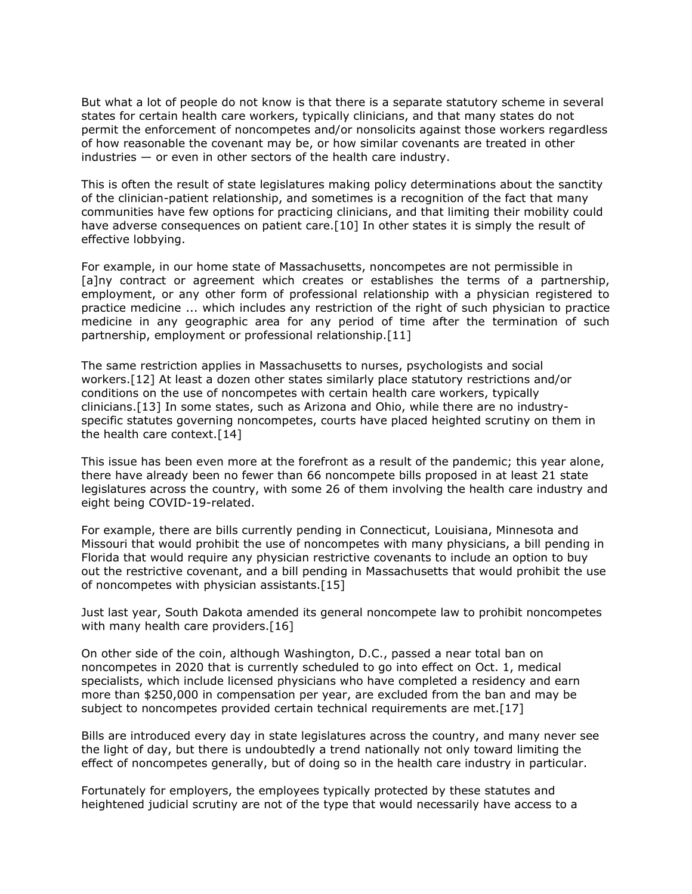But what a lot of people do not know is that there is a separate statutory scheme in several states for certain health care workers, typically clinicians, and that many states do not permit the enforcement of noncompetes and/or nonsolicits against those workers regardless of how reasonable the covenant may be, or how similar covenants are treated in other industries — or even in other sectors of the health care industry.

This is often the result of state legislatures making policy determinations about the sanctity of the clinician-patient relationship, and sometimes is a recognition of the fact that many communities have few options for practicing clinicians, and that limiting their mobility could have adverse consequences on patient care.[10] In other states it is simply the result of effective lobbying.

For example, in our home state of Massachusetts, noncompetes are not permissible in [a]ny contract or agreement which creates or establishes the terms of a partnership, employment, or any other form of professional relationship with a physician registered to practice medicine ... which includes any restriction of the right of such physician to practice medicine in any geographic area for any period of time after the termination of such partnership, employment or professional relationship.[11]

The same restriction applies in Massachusetts to nurses, psychologists and social workers.[12] At least a dozen other states similarly place statutory restrictions and/or conditions on the use of noncompetes with certain health care workers, typically clinicians.[13] In some states, such as Arizona and Ohio, while there are no industryspecific statutes governing noncompetes, courts have placed heighted scrutiny on them in the health care context.[14]

This issue has been even more at the forefront as a result of the pandemic; this year alone, there have already been no fewer than 66 noncompete bills proposed in at least 21 state legislatures across the country, with some 26 of them involving the health care industry and eight being COVID-19-related.

For example, there are bills currently pending in Connecticut, Louisiana, Minnesota and Missouri that would prohibit the use of noncompetes with many physicians, a bill pending in Florida that would require any physician restrictive covenants to include an option to buy out the restrictive covenant, and a bill pending in Massachusetts that would prohibit the use of noncompetes with physician assistants.[15]

Just last year, South Dakota amended its general noncompete law to prohibit noncompetes with many health care providers.[16]

On other side of the coin, although Washington, D.C., passed a near total ban on noncompetes in 2020 that is currently scheduled to go into effect on Oct. 1, medical specialists, which include licensed physicians who have completed a residency and earn more than \$250,000 in compensation per year, are excluded from the ban and may be subject to noncompetes provided certain technical requirements are met.[17]

Bills are introduced every day in state legislatures across the country, and many never see the light of day, but there is undoubtedly a trend nationally not only toward limiting the effect of noncompetes generally, but of doing so in the health care industry in particular.

Fortunately for employers, the employees typically protected by these statutes and heightened judicial scrutiny are not of the type that would necessarily have access to a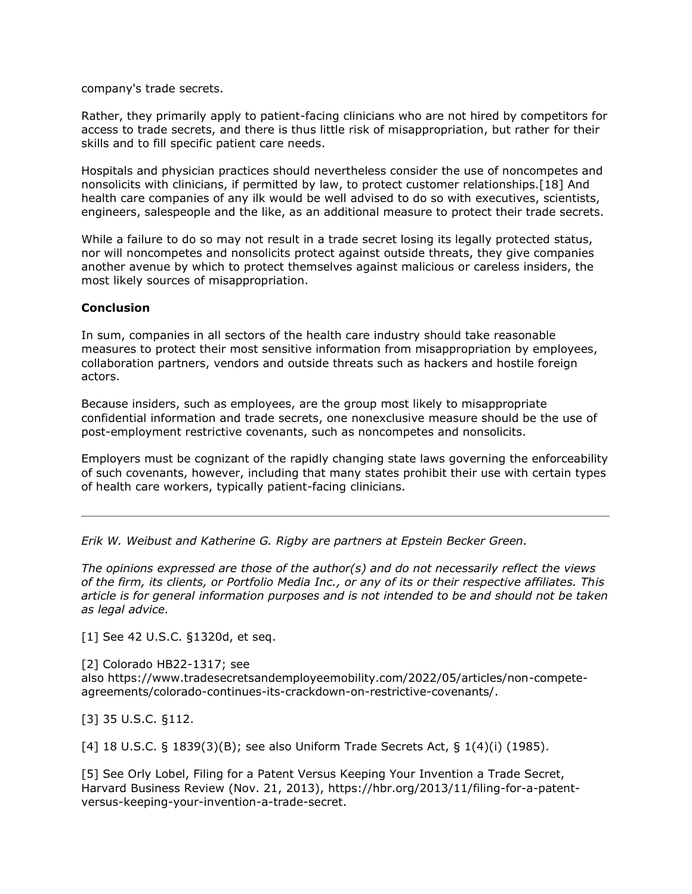company's trade secrets.

Rather, they primarily apply to patient-facing clinicians who are not hired by competitors for access to trade secrets, and there is thus little risk of misappropriation, but rather for their skills and to fill specific patient care needs.

Hospitals and physician practices should nevertheless consider the use of noncompetes and nonsolicits with clinicians, if permitted by law, to protect customer relationships.[18] And health care companies of any ilk would be well advised to do so with executives, scientists, engineers, salespeople and the like, as an additional measure to protect their trade secrets.

While a failure to do so may not result in a trade secret losing its legally protected status, nor will noncompetes and nonsolicits protect against outside threats, they give companies another avenue by which to protect themselves against malicious or careless insiders, the most likely sources of misappropriation.

### **Conclusion**

In sum, companies in all sectors of the health care industry should take reasonable measures to protect their most sensitive information from misappropriation by employees, collaboration partners, vendors and outside threats such as hackers and hostile foreign actors.

Because insiders, such as employees, are the group most likely to misappropriate confidential information and trade secrets, one nonexclusive measure should be the use of post-employment restrictive covenants, such as noncompetes and nonsolicits.

Employers must be cognizant of the rapidly changing state laws governing the enforceability of such covenants, however, including that many states prohibit their use with certain types of health care workers, typically patient-facing clinicians.

*[Erik W. Weibust](https://www.ebglaw.com/people/erik-w-weibust/) and [Katherine G. Rigby](https://www.ebglaw.com/people/katherine-g-rigby/) are partners at [Epstein Becker Green.](https://www.law360.com/firms/epstein-becker-green)*

*The opinions expressed are those of the author(s) and do not necessarily reflect the views of the firm, its clients, or Portfolio Media Inc., or any of its or their respective affiliates. This article is for general information purposes and is not intended to be and should not be taken as legal advice.*

[1] See 42 U.S.C. §1320d, et seq.

[2] Colorado HB22-1317; see also [https://www.tradesecretsandemployeemobility.com/2022/05/articles/non-compete](https://www.tradesecretsandemployeemobility.com/2022/05/articles/non-compete-agreements/colorado-continues-its-crackdown-on-restrictive-covenants/)[agreements/colorado-continues-its-crackdown-on-restrictive-covenants/.](https://www.tradesecretsandemployeemobility.com/2022/05/articles/non-compete-agreements/colorado-continues-its-crackdown-on-restrictive-covenants/)

[3] 35 U.S.C. §112.

[4] 18 U.S.C. § 1839(3)(B); see also Uniform Trade Secrets Act, § 1(4)(i) (1985).

[5] See Orly Lobel, Filing for a Patent Versus Keeping Your Invention a Trade Secret, Harvard Business Review (Nov. 21, 2013), [https://hbr.org/2013/11/filing-for-a-patent](https://hbr.org/2013/11/filing-for-a-patent-versus-keeping-your-invention-a-trade-secret)[versus-keeping-your-invention-a-trade-secret.](https://hbr.org/2013/11/filing-for-a-patent-versus-keeping-your-invention-a-trade-secret)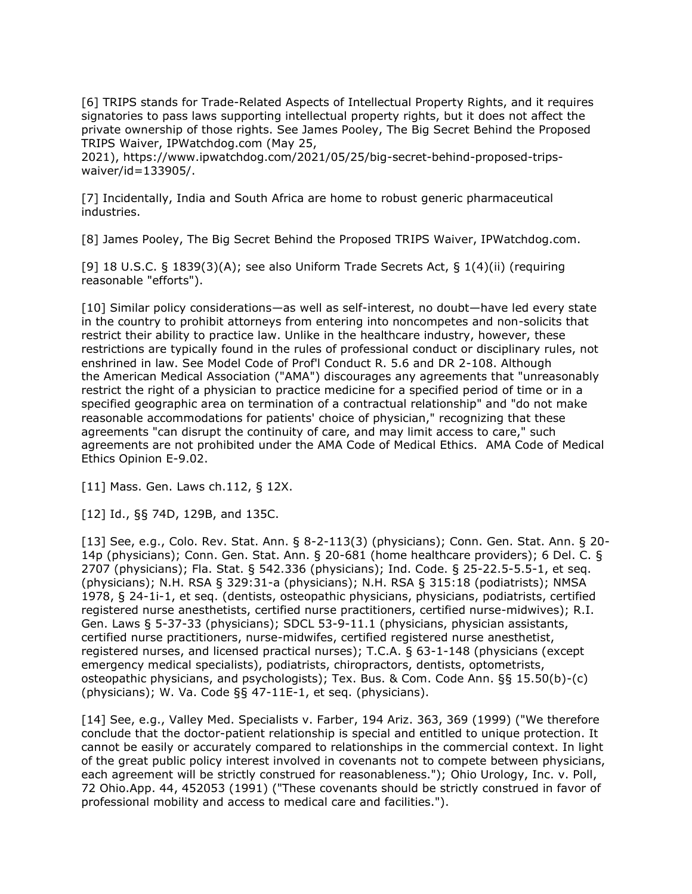[6] TRIPS stands for Trade-Related Aspects of Intellectual Property Rights, and it requires signatories to pass laws supporting intellectual property rights, but it does not affect the private ownership of those rights. See James Pooley, The Big Secret Behind the Proposed TRIPS Waiver, IPWatchdog.com (May 25,

2021), [https://www.ipwatchdog.com/2021/05/25/big-secret-behind-proposed-trips](https://www.ipwatchdog.com/2021/05/25/big-secret-behind-proposed-trips-waiver/id=133905/)[waiver/id=133905/.](https://www.ipwatchdog.com/2021/05/25/big-secret-behind-proposed-trips-waiver/id=133905/)

[7] Incidentally, India and South Africa are home to robust generic pharmaceutical industries.

[8] James Pooley, The Big Secret Behind the Proposed TRIPS Waiver, IPWatchdog.com.

[9] 18 U.S.C. § 1839(3)(A); see also Uniform Trade Secrets Act, § 1(4)(ii) (requiring reasonable "efforts").

[10] Similar policy considerations—as well as self-interest, no doubt—have led every state in the country to prohibit attorneys from entering into noncompetes and non-solicits that restrict their ability to practice law. Unlike in the healthcare industry, however, these restrictions are typically found in the rules of professional conduct or disciplinary rules, not enshrined in law. See Model Code of Prof'l Conduct R. 5.6 and DR 2-108. Although the [American Medical Association](https://www.law360.com/companies/american-medical-association-inc) ("AMA") discourages any agreements that "unreasonably restrict the right of a physician to practice medicine for a specified period of time or in a specified geographic area on termination of a contractual relationship" and "do not make reasonable accommodations for patients' choice of physician," recognizing that these agreements "can disrupt the continuity of care, and may limit access to care," such agreements are not prohibited under the AMA Code of Medical Ethics. AMA Code of Medical Ethics Opinion E-9.02.

[11] Mass. Gen. Laws ch.112, § 12X.

[12] Id., §§ 74D, 129B, and 135C.

[13] See, e.g., Colo. Rev. Stat. Ann. § 8-2-113(3) (physicians); Conn. Gen. Stat. Ann. § 20- 14p (physicians); Conn. Gen. Stat. Ann. § 20-681 (home healthcare providers); 6 Del. C. § 2707 (physicians); Fla. Stat. § 542.336 (physicians); Ind. Code. § 25-22.5-5.5-1, et seq. (physicians); N.H. RSA § 329:31-a (physicians); N.H. RSA § 315:18 (podiatrists); NMSA 1978, § 24-1i-1, et seq. (dentists, osteopathic physicians, physicians, podiatrists, certified registered nurse anesthetists, certified nurse practitioners, certified nurse-midwives); R.I. Gen. Laws § 5-37-33 (physicians); SDCL 53-9-11.1 (physicians, physician assistants, certified nurse practitioners, nurse-midwifes, certified registered nurse anesthetist, registered nurses, and licensed practical nurses); T.C.A. § 63-1-148 (physicians (except emergency medical specialists), podiatrists, chiropractors, dentists, optometrists, osteopathic physicians, and psychologists); Tex. Bus. & Com. Code Ann. §§ 15.50(b)-(c) (physicians); W. Va. Code §§ 47-11E-1, et seq. (physicians).

[14] See, e.g., [Valley Med. Specialists v. Farber,](https://advance.lexis.com/api/search?q=1999%20Ariz.%20LEXIS%2091&qlang=bool&origination=law360&internalOrigination=article_id%3D1496647%3Bcitation%3D1999%20Ariz.%20LEXIS%2091&originationDetail=headline%3DHow%20To%20Protect%20Health%20Care%20Trade%20Secrets%20With%20Covenants&) 194 Ariz. 363, 369 (1999) ("We therefore conclude that the doctor-patient relationship is special and entitled to unique protection. It cannot be easily or accurately compared to relationships in the commercial context. In light of the great public policy interest involved in covenants not to compete between physicians, each agreement will be strictly construed for reasonableness."); [Ohio Urology, Inc. v. Poll,](https://advance.lexis.com/api/search?q=1991%20Ohio%20App.%20LEXIS%20575&qlang=bool&origination=law360&internalOrigination=article_id%3D1496647%3Bcitation%3D1991%20Ohio%20App.%20LEXIS%20575&originationDetail=headline%3DHow%20To%20Protect%20Health%20Care%20Trade%20Secrets%20With%20Covenants&) 72 Ohio.App. 44, 452053 (1991) ("These covenants should be strictly construed in favor of professional mobility and access to medical care and facilities.").